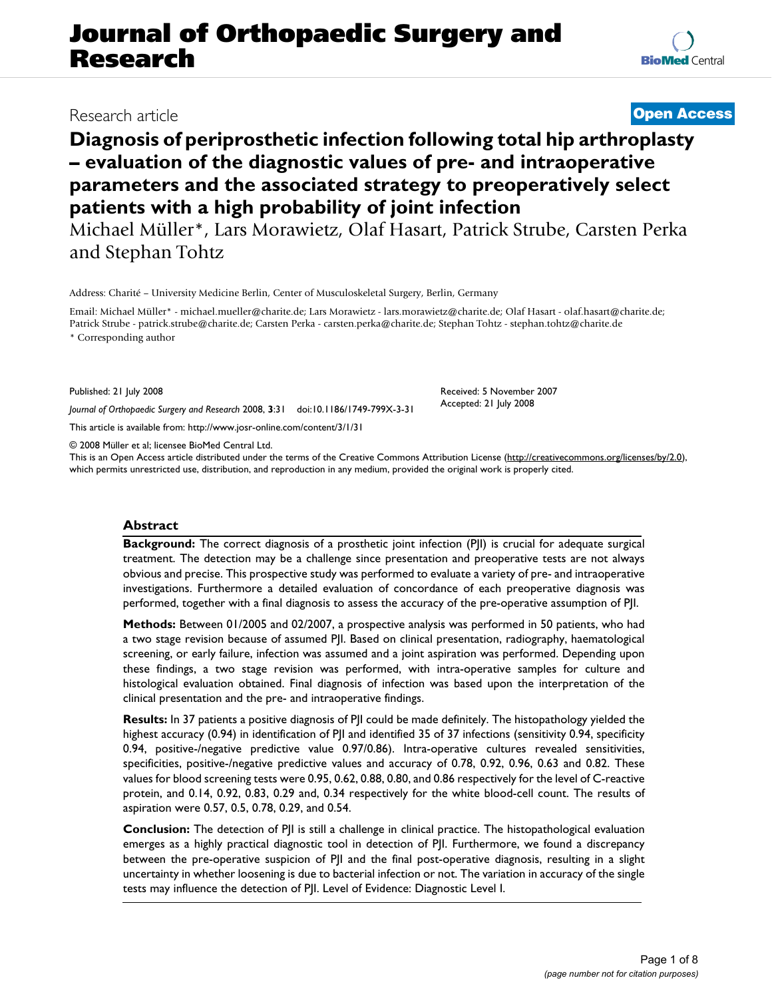# **Journal of Orthopaedic Surgery and Research**

## **Diagnosis of periprosthetic infection following total hip arthroplasty – evaluation of the diagnostic values of pre- and intraoperative parameters and the associated strategy to preoperatively select patients with a high probability of joint infection**

Michael Müller\*, Lars Morawietz, Olaf Hasart, Patrick Strube, Carsten Perka and Stephan Tohtz

Address: Charité – University Medicine Berlin, Center of Musculoskeletal Surgery, Berlin, Germany

Email: Michael Müller\* - michael.mueller@charite.de; Lars Morawietz - lars.morawietz@charite.de; Olaf Hasart - olaf.hasart@charite.de; Patrick Strube - patrick.strube@charite.de; Carsten Perka - carsten.perka@charite.de; Stephan Tohtz - stephan.tohtz@charite.de \* Corresponding author

Published: 21 July 2008

*Journal of Orthopaedic Surgery and Research* 2008, **3**:31 doi:10.1186/1749-799X-3-31

[This article is available from: http://www.josr-online.com/content/3/1/31](http://www.josr-online.com/content/3/1/31)

© 2008 Müller et al; licensee BioMed Central Ltd.

This is an Open Access article distributed under the terms of the Creative Commons Attribution License [\(http://creativecommons.org/licenses/by/2.0\)](http://creativecommons.org/licenses/by/2.0), which permits unrestricted use, distribution, and reproduction in any medium, provided the original work is properly cited.

#### **Abstract**

**Background:** The correct diagnosis of a prosthetic joint infection (PJI) is crucial for adequate surgical treatment. The detection may be a challenge since presentation and preoperative tests are not always obvious and precise. This prospective study was performed to evaluate a variety of pre- and intraoperative investigations. Furthermore a detailed evaluation of concordance of each preoperative diagnosis was performed, together with a final diagnosis to assess the accuracy of the pre-operative assumption of PJI.

**Methods:** Between 01/2005 and 02/2007, a prospective analysis was performed in 50 patients, who had a two stage revision because of assumed PJI. Based on clinical presentation, radiography, haematological screening, or early failure, infection was assumed and a joint aspiration was performed. Depending upon these findings, a two stage revision was performed, with intra-operative samples for culture and histological evaluation obtained. Final diagnosis of infection was based upon the interpretation of the clinical presentation and the pre- and intraoperative findings.

**Results:** In 37 patients a positive diagnosis of PJI could be made definitely. The histopathology yielded the highest accuracy (0.94) in identification of P|I and identified 35 of 37 infections (sensitivity 0.94, specificity 0.94, positive-/negative predictive value 0.97/0.86). Intra-operative cultures revealed sensitivities, specificities, positive-/negative predictive values and accuracy of 0.78, 0.92, 0.96, 0.63 and 0.82. These values for blood screening tests were 0.95, 0.62, 0.88, 0.80, and 0.86 respectively for the level of C-reactive protein, and 0.14, 0.92, 0.83, 0.29 and, 0.34 respectively for the white blood-cell count. The results of aspiration were 0.57, 0.5, 0.78, 0.29, and 0.54.

**Conclusion:** The detection of PJI is still a challenge in clinical practice. The histopathological evaluation emerges as a highly practical diagnostic tool in detection of PJI. Furthermore, we found a discrepancy between the pre-operative suspicion of PJI and the final post-operative diagnosis, resulting in a slight uncertainty in whether loosening is due to bacterial infection or not. The variation in accuracy of the single tests may influence the detection of PJI. Level of Evidence: Diagnostic Level I.

Received: 5 November 2007 Accepted: 21 July 2008

Research article **[Open Access](http://www.biomedcentral.com/info/about/charter/)**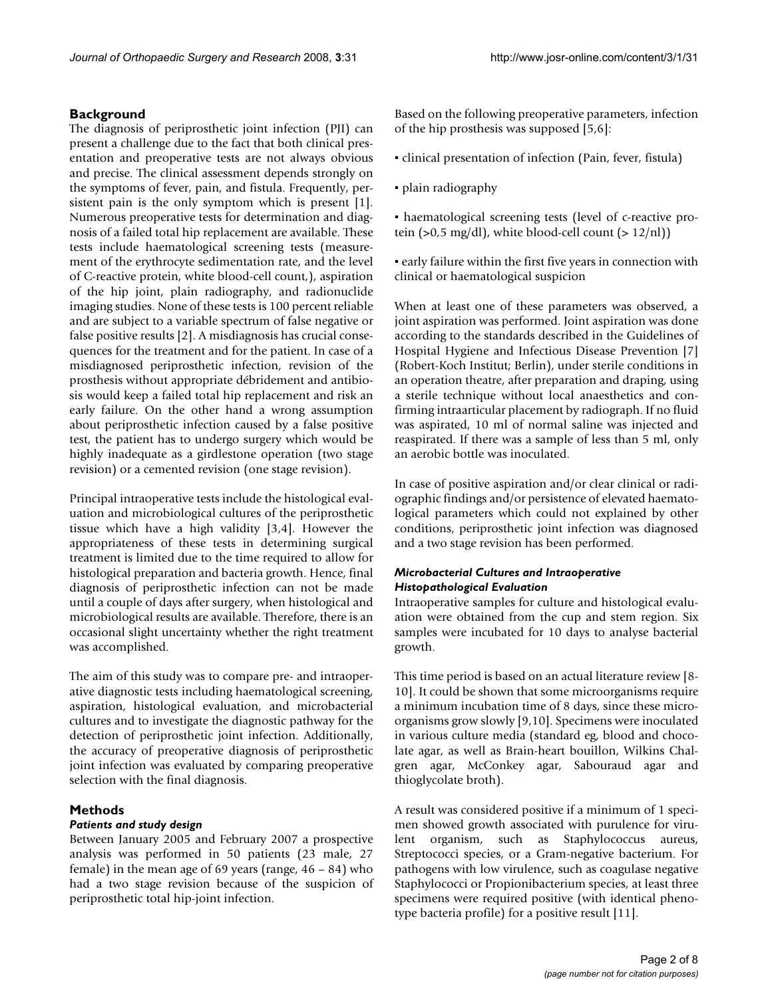#### **Background**

The diagnosis of periprosthetic joint infection (PJI) can present a challenge due to the fact that both clinical presentation and preoperative tests are not always obvious and precise. The clinical assessment depends strongly on the symptoms of fever, pain, and fistula. Frequently, persistent pain is the only symptom which is present [1]. Numerous preoperative tests for determination and diagnosis of a failed total hip replacement are available. These tests include haematological screening tests (measurement of the erythrocyte sedimentation rate, and the level of C-reactive protein, white blood-cell count,), aspiration of the hip joint, plain radiography, and radionuclide imaging studies. None of these tests is 100 percent reliable and are subject to a variable spectrum of false negative or false positive results [2]. A misdiagnosis has crucial consequences for the treatment and for the patient. In case of a misdiagnosed periprosthetic infection, revision of the prosthesis without appropriate débridement and antibiosis would keep a failed total hip replacement and risk an early failure. On the other hand a wrong assumption about periprosthetic infection caused by a false positive test, the patient has to undergo surgery which would be highly inadequate as a girdlestone operation (two stage revision) or a cemented revision (one stage revision).

Principal intraoperative tests include the histological evaluation and microbiological cultures of the periprosthetic tissue which have a high validity [3,4]. However the appropriateness of these tests in determining surgical treatment is limited due to the time required to allow for histological preparation and bacteria growth. Hence, final diagnosis of periprosthetic infection can not be made until a couple of days after surgery, when histological and microbiological results are available. Therefore, there is an occasional slight uncertainty whether the right treatment was accomplished.

The aim of this study was to compare pre- and intraoperative diagnostic tests including haematological screening, aspiration, histological evaluation, and microbacterial cultures and to investigate the diagnostic pathway for the detection of periprosthetic joint infection. Additionally, the accuracy of preoperative diagnosis of periprosthetic joint infection was evaluated by comparing preoperative selection with the final diagnosis.

#### **Methods**

#### *Patients and study design*

Between January 2005 and February 2007 a prospective analysis was performed in 50 patients (23 male, 27 female) in the mean age of 69 years (range, 46 – 84) who had a two stage revision because of the suspicion of periprosthetic total hip-joint infection.

Based on the following preoperative parameters, infection of the hip prosthesis was supposed [5,6]:

- clinical presentation of infection (Pain, fever, fistula)
- plain radiography

▪ haematological screening tests (level of c-reactive protein  $(>0.5 \text{ mg/dl})$ , white blood-cell count  $(>12/\text{nl}))$ 

▪ early failure within the first five years in connection with clinical or haematological suspicion

When at least one of these parameters was observed, a joint aspiration was performed. Joint aspiration was done according to the standards described in the Guidelines of Hospital Hygiene and Infectious Disease Prevention [7] (Robert-Koch Institut; Berlin), under sterile conditions in an operation theatre, after preparation and draping, using a sterile technique without local anaesthetics and confirming intraarticular placement by radiograph. If no fluid was aspirated, 10 ml of normal saline was injected and reaspirated. If there was a sample of less than 5 ml, only an aerobic bottle was inoculated.

In case of positive aspiration and/or clear clinical or radiographic findings and/or persistence of elevated haematological parameters which could not explained by other conditions, periprosthetic joint infection was diagnosed and a two stage revision has been performed.

#### *Microbacterial Cultures and Intraoperative Histopathological Evaluation*

Intraoperative samples for culture and histological evaluation were obtained from the cup and stem region. Six samples were incubated for 10 days to analyse bacterial growth.

This time period is based on an actual literature review [8- 10]. It could be shown that some microorganisms require a minimum incubation time of 8 days, since these microorganisms grow slowly [9,10]. Specimens were inoculated in various culture media (standard eg, blood and chocolate agar, as well as Brain-heart bouillon, Wilkins Chalgren agar, McConkey agar, Sabouraud agar and thioglycolate broth).

A result was considered positive if a minimum of 1 specimen showed growth associated with purulence for virulent organism, such as Staphylococcus aureus, Streptococci species, or a Gram-negative bacterium. For pathogens with low virulence, such as coagulase negative Staphylococci or Propionibacterium species, at least three specimens were required positive (with identical phenotype bacteria profile) for a positive result [11].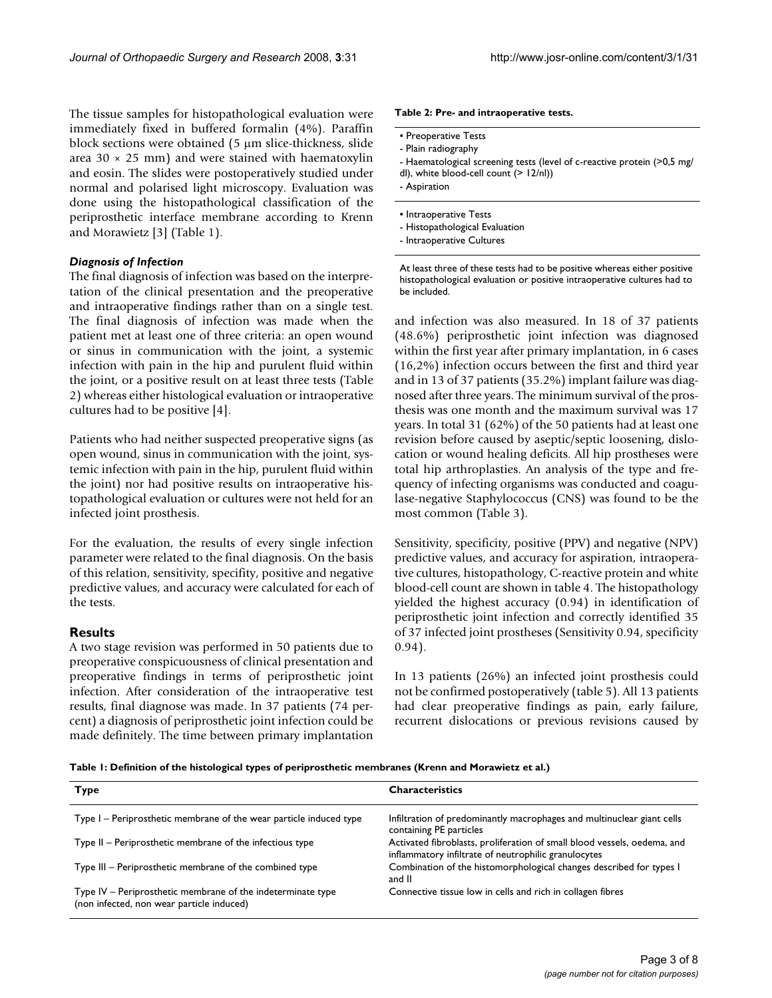The tissue samples for histopathological evaluation were immediately fixed in buffered formalin (4%). Paraffin block sections were obtained (5 μm slice-thickness, slide area 30  $\times$  25 mm) and were stained with haematoxylin and eosin. The slides were postoperatively studied under normal and polarised light microscopy. Evaluation was done using the histopathological classification of the periprosthetic interface membrane according to Krenn and Morawietz [3] (Table 1).

#### *Diagnosis of Infection*

The final diagnosis of infection was based on the interpretation of the clinical presentation and the preoperative and intraoperative findings rather than on a single test. The final diagnosis of infection was made when the patient met at least one of three criteria: an open wound or sinus in communication with the joint, a systemic infection with pain in the hip and purulent fluid within the joint, or a positive result on at least three tests (Table 2) whereas either histological evaluation or intraoperative cultures had to be positive [4].

Patients who had neither suspected preoperative signs (as open wound, sinus in communication with the joint, systemic infection with pain in the hip, purulent fluid within the joint) nor had positive results on intraoperative histopathological evaluation or cultures were not held for an infected joint prosthesis.

For the evaluation, the results of every single infection parameter were related to the final diagnosis. On the basis of this relation, sensitivity, specifity, positive and negative predictive values, and accuracy were calculated for each of the tests.

#### **Results**

A two stage revision was performed in 50 patients due to preoperative conspicuousness of clinical presentation and preoperative findings in terms of periprosthetic joint infection. After consideration of the intraoperative test results, final diagnose was made. In 37 patients (74 percent) a diagnosis of periprosthetic joint infection could be made definitely. The time between primary implantation

**Table 2: Pre- and intraoperative tests.** 

- Preoperative Tests
- Plain radiography
- Haematological screening tests (level of c-reactive protein (>0,5 mg/
- dl), white blood-cell count (> 12/nl)) - Aspiration
- 
- Intraoperative Tests
- Histopathological Evaluation
- Intraoperative Cultures

At least three of these tests had to be positive whereas either positive histopathological evaluation or positive intraoperative cultures had to be included.

and infection was also measured. In 18 of 37 patients (48.6%) periprosthetic joint infection was diagnosed within the first year after primary implantation, in 6 cases (16,2%) infection occurs between the first and third year and in 13 of 37 patients (35.2%) implant failure was diagnosed after three years. The minimum survival of the prosthesis was one month and the maximum survival was 17 years. In total 31 (62%) of the 50 patients had at least one revision before caused by aseptic/septic loosening, dislocation or wound healing deficits. All hip prostheses were total hip arthroplasties. An analysis of the type and frequency of infecting organisms was conducted and coagulase-negative Staphylococcus (CNS) was found to be the most common (Table 3).

Sensitivity, specificity, positive (PPV) and negative (NPV) predictive values, and accuracy for aspiration, intraoperative cultures, histopathology, C-reactive protein and white blood-cell count are shown in table 4. The histopathology yielded the highest accuracy (0.94) in identification of periprosthetic joint infection and correctly identified 35 of 37 infected joint prostheses (Sensitivity 0.94, specificity 0.94).

In 13 patients (26%) an infected joint prosthesis could not be confirmed postoperatively (table 5). All 13 patients had clear preoperative findings as pain, early failure, recurrent dislocations or previous revisions caused by

**Table 1: Definition of the histological types of periprosthetic membranes (Krenn and Morawietz et al.)**

| Type                                                                                                     | <b>Characteristics</b>                                                                                                           |
|----------------------------------------------------------------------------------------------------------|----------------------------------------------------------------------------------------------------------------------------------|
| Type I – Periprosthetic membrane of the wear particle induced type                                       | Infiltration of predominantly macrophages and multinuclear giant cells<br>containing PE particles                                |
| Type II – Periprosthetic membrane of the infectious type                                                 | Activated fibroblasts, proliferation of small blood vessels, oedema, and<br>inflammatory infiltrate of neutrophilic granulocytes |
| Type III – Periprosthetic membrane of the combined type                                                  | Combination of the histomorphological changes described for types I<br>and II                                                    |
| Type IV - Periprosthetic membrane of the indeterminate type<br>(non infected, non wear particle induced) | Connective tissue low in cells and rich in collagen fibres                                                                       |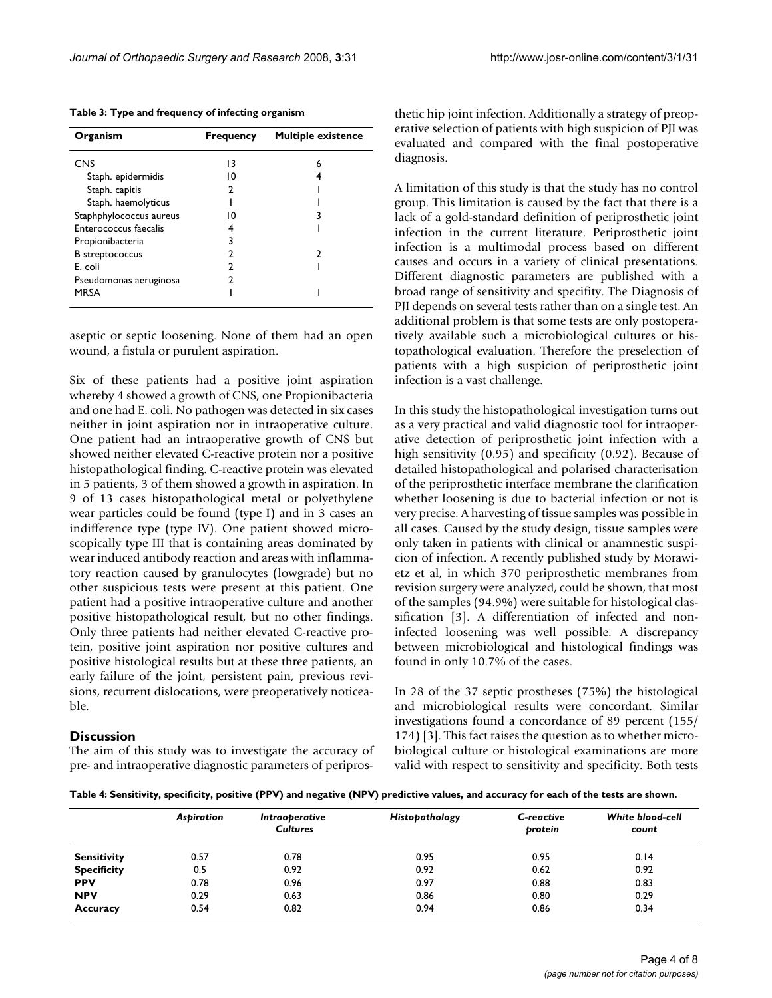**Table 3: Type and frequency of infecting organism**

| Organism                | <b>Frequency</b> | <b>Multiple existence</b> |
|-------------------------|------------------|---------------------------|
| <b>CNS</b>              | 13               | 6                         |
| Staph. epidermidis      | ıΩ               |                           |
| Staph. capitis          |                  |                           |
| Staph. haemolyticus     |                  |                           |
| Staphphylococcus aureus | ı٥               |                           |
| Enterococcus faecalis   |                  |                           |
| Propionibacteria        |                  |                           |
| <b>B</b> streptococcus  |                  | າ                         |
| E. coli                 |                  |                           |
| Pseudomonas aeruginosa  |                  |                           |
| <b>MRSA</b>             |                  |                           |

aseptic or septic loosening. None of them had an open wound, a fistula or purulent aspiration.

Six of these patients had a positive joint aspiration whereby 4 showed a growth of CNS, one Propionibacteria and one had E. coli. No pathogen was detected in six cases neither in joint aspiration nor in intraoperative culture. One patient had an intraoperative growth of CNS but showed neither elevated C-reactive protein nor a positive histopathological finding. C-reactive protein was elevated in 5 patients, 3 of them showed a growth in aspiration. In 9 of 13 cases histopathological metal or polyethylene wear particles could be found (type I) and in 3 cases an indifference type (type IV). One patient showed microscopically type III that is containing areas dominated by wear induced antibody reaction and areas with inflammatory reaction caused by granulocytes (lowgrade) but no other suspicious tests were present at this patient. One patient had a positive intraoperative culture and another positive histopathological result, but no other findings. Only three patients had neither elevated C-reactive protein, positive joint aspiration nor positive cultures and positive histological results but at these three patients, an early failure of the joint, persistent pain, previous revisions, recurrent dislocations, were preoperatively noticeable.

#### **Discussion**

The aim of this study was to investigate the accuracy of pre- and intraoperative diagnostic parameters of periprosthetic hip joint infection. Additionally a strategy of preoperative selection of patients with high suspicion of PJI was evaluated and compared with the final postoperative diagnosis.

A limitation of this study is that the study has no control group. This limitation is caused by the fact that there is a lack of a gold-standard definition of periprosthetic joint infection in the current literature. Periprosthetic joint infection is a multimodal process based on different causes and occurs in a variety of clinical presentations. Different diagnostic parameters are published with a broad range of sensitivity and specifity. The Diagnosis of PJI depends on several tests rather than on a single test. An additional problem is that some tests are only postoperatively available such a microbiological cultures or histopathological evaluation. Therefore the preselection of patients with a high suspicion of periprosthetic joint infection is a vast challenge.

In this study the histopathological investigation turns out as a very practical and valid diagnostic tool for intraoperative detection of periprosthetic joint infection with a high sensitivity (0.95) and specificity (0.92). Because of detailed histopathological and polarised characterisation of the periprosthetic interface membrane the clarification whether loosening is due to bacterial infection or not is very precise. A harvesting of tissue samples was possible in all cases. Caused by the study design, tissue samples were only taken in patients with clinical or anamnestic suspicion of infection. A recently published study by Morawietz et al, in which 370 periprosthetic membranes from revision surgery were analyzed, could be shown, that most of the samples (94.9%) were suitable for histological classification [3]. A differentiation of infected and noninfected loosening was well possible. A discrepancy between microbiological and histological findings was found in only 10.7% of the cases.

In 28 of the 37 septic prostheses (75%) the histological and microbiological results were concordant. Similar investigations found a concordance of 89 percent (155/ 174) [3]. This fact raises the question as to whether microbiological culture or histological examinations are more valid with respect to sensitivity and specificity. Both tests

**Table 4: Sensitivity, specificity, positive (PPV) and negative (NPV) predictive values, and accuracy for each of the tests are shown.**

|                    | <b>Aspiration</b> | <i>Intraoperative</i><br><b>Cultures</b> | Histopathology | C-reactive<br>protein | White blood-cell<br>count |
|--------------------|-------------------|------------------------------------------|----------------|-----------------------|---------------------------|
| <b>Sensitivity</b> | 0.57              | 0.78                                     | 0.95           | 0.95                  | 0.14                      |
| <b>Specificity</b> | 0.5               | 0.92                                     | 0.92           | 0.62                  | 0.92                      |
| <b>PPV</b>         | 0.78              | 0.96                                     | 0.97           | 0.88                  | 0.83                      |
| <b>NPV</b>         | 0.29              | 0.63                                     | 0.86           | 0.80                  | 0.29                      |
| <b>Accuracy</b>    | 0.54              | 0.82                                     | 0.94           | 0.86                  | 0.34                      |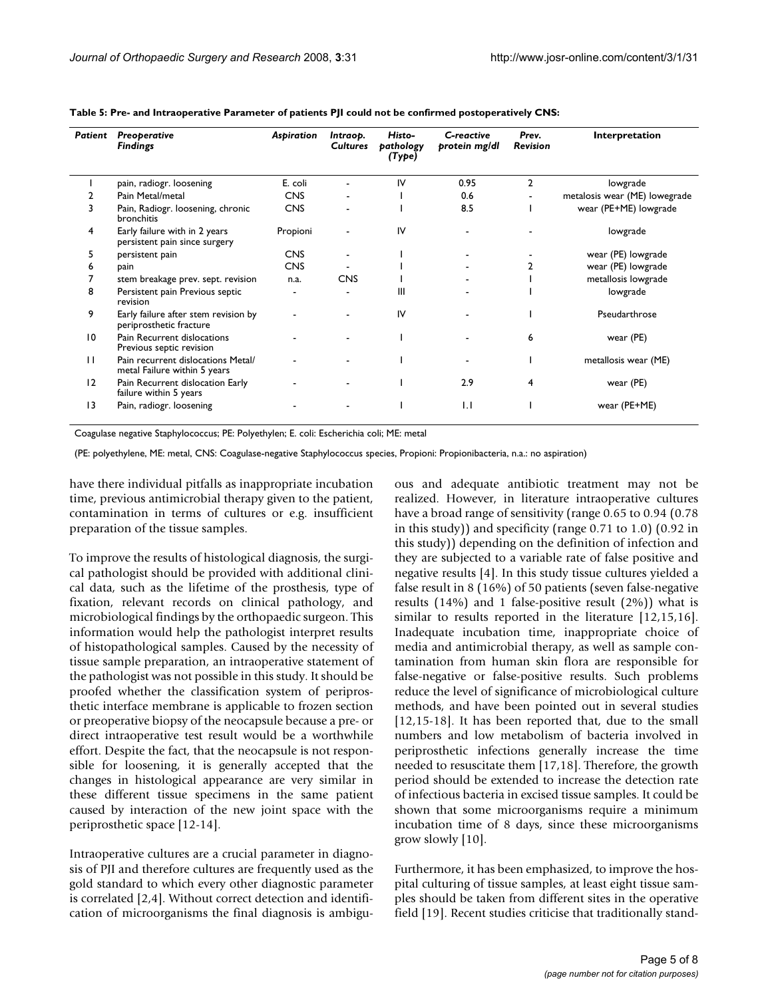|                 | pain, radiogr. loosening                                           |            |            |    |              |   |                               |
|-----------------|--------------------------------------------------------------------|------------|------------|----|--------------|---|-------------------------------|
|                 |                                                                    | E. coli    |            | IV | 0.95         | 2 | lowgrade                      |
|                 | Pain Metal/metal                                                   | <b>CNS</b> |            |    | 0.6          |   | metalosis wear (ME) lowegrade |
| 3               | Pain, Radiogr. loosening, chronic<br>bronchitis                    | <b>CNS</b> |            |    | 8.5          |   | wear (PE+ME) lowgrade         |
| 4               | Early failure with in 2 years<br>persistent pain since surgery     | Propioni   |            | IV |              |   | lowgrade                      |
| 5               | persistent pain                                                    | <b>CNS</b> |            |    |              |   | wear (PE) lowgrade            |
| 6               | pain                                                               | <b>CNS</b> |            |    |              |   | wear (PE) lowgrade            |
|                 | stem breakage prev. sept. revision                                 | n.a.       | <b>CNS</b> |    |              |   | metallosis lowgrade           |
| 8               | Persistent pain Previous septic<br>revision                        |            |            | Ш  |              |   | lowgrade                      |
| 9               | Early failure after stem revision by<br>periprosthetic fracture    |            |            | IV |              |   | Pseudarthrose                 |
| $\overline{10}$ | Pain Recurrent dislocations<br>Previous septic revision            |            |            |    |              | 6 | wear (PE)                     |
| П               | Pain recurrent dislocations Metal/<br>metal Failure within 5 years |            |            |    |              |   | metallosis wear (ME)          |
| 12              | Pain Recurrent dislocation Early<br>failure within 5 years         |            |            |    | 2.9          | 4 | wear (PE)                     |
| $\overline{13}$ | Pain, radiogr. loosening                                           |            |            |    | $\mathsf{L}$ |   | wear (PE+ME)                  |

**Table 5: Pre- and Intraoperative Parameter of patients PJI could not be confirmed postoperatively CNS:** 

Coagulase negative Staphylococcus; PE: Polyethylen; E. coli: Escherichia coli; ME: metal

(PE: polyethylene, ME: metal, CNS: Coagulase-negative Staphylococcus species, Propioni: Propionibacteria, n.a.: no aspiration)

have there individual pitfalls as inappropriate incubation time, previous antimicrobial therapy given to the patient, contamination in terms of cultures or e.g. insufficient preparation of the tissue samples.

To improve the results of histological diagnosis, the surgical pathologist should be provided with additional clinical data, such as the lifetime of the prosthesis, type of fixation, relevant records on clinical pathology, and microbiological findings by the orthopaedic surgeon. This information would help the pathologist interpret results of histopathological samples. Caused by the necessity of tissue sample preparation, an intraoperative statement of the pathologist was not possible in this study. It should be proofed whether the classification system of periprosthetic interface membrane is applicable to frozen section or preoperative biopsy of the neocapsule because a pre- or direct intraoperative test result would be a worthwhile effort. Despite the fact, that the neocapsule is not responsible for loosening, it is generally accepted that the changes in histological appearance are very similar in these different tissue specimens in the same patient caused by interaction of the new joint space with the periprosthetic space [12-14].

Intraoperative cultures are a crucial parameter in diagnosis of PJI and therefore cultures are frequently used as the gold standard to which every other diagnostic parameter is correlated [2,4]. Without correct detection and identification of microorganisms the final diagnosis is ambiguous and adequate antibiotic treatment may not be realized. However, in literature intraoperative cultures have a broad range of sensitivity (range 0.65 to 0.94 (0.78 in this study)) and specificity (range 0.71 to 1.0) (0.92 in this study)) depending on the definition of infection and they are subjected to a variable rate of false positive and negative results [4]. In this study tissue cultures yielded a false result in 8 (16%) of 50 patients (seven false-negative results (14%) and 1 false-positive result (2%)) what is similar to results reported in the literature [12,15,16]. Inadequate incubation time, inappropriate choice of media and antimicrobial therapy, as well as sample contamination from human skin flora are responsible for false-negative or false-positive results. Such problems reduce the level of significance of microbiological culture methods, and have been pointed out in several studies [12,15-18]. It has been reported that, due to the small numbers and low metabolism of bacteria involved in periprosthetic infections generally increase the time needed to resuscitate them [17,18]. Therefore, the growth period should be extended to increase the detection rate of infectious bacteria in excised tissue samples. It could be shown that some microorganisms require a minimum incubation time of 8 days, since these microorganisms grow slowly [10].

Furthermore, it has been emphasized, to improve the hospital culturing of tissue samples, at least eight tissue samples should be taken from different sites in the operative field [19]. Recent studies criticise that traditionally stand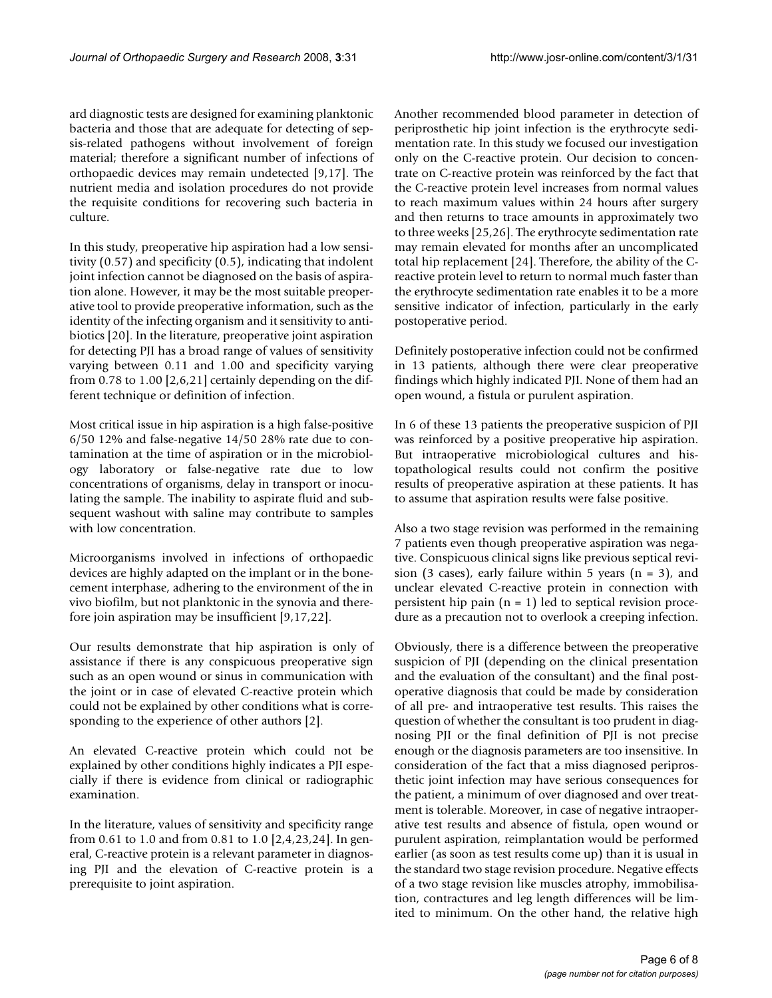ard diagnostic tests are designed for examining planktonic bacteria and those that are adequate for detecting of sepsis-related pathogens without involvement of foreign material; therefore a significant number of infections of orthopaedic devices may remain undetected [9,17]. The nutrient media and isolation procedures do not provide the requisite conditions for recovering such bacteria in culture.

In this study, preoperative hip aspiration had a low sensitivity (0.57) and specificity (0.5), indicating that indolent joint infection cannot be diagnosed on the basis of aspiration alone. However, it may be the most suitable preoperative tool to provide preoperative information, such as the identity of the infecting organism and it sensitivity to antibiotics [20]. In the literature, preoperative joint aspiration for detecting PJI has a broad range of values of sensitivity varying between 0.11 and 1.00 and specificity varying from 0.78 to 1.00 [2,6,21] certainly depending on the different technique or definition of infection.

Most critical issue in hip aspiration is a high false-positive 6/50 12% and false-negative 14/50 28% rate due to contamination at the time of aspiration or in the microbiology laboratory or false-negative rate due to low concentrations of organisms, delay in transport or inoculating the sample. The inability to aspirate fluid and subsequent washout with saline may contribute to samples with low concentration.

Microorganisms involved in infections of orthopaedic devices are highly adapted on the implant or in the bonecement interphase, adhering to the environment of the in vivo biofilm, but not planktonic in the synovia and therefore join aspiration may be insufficient [9,17,22].

Our results demonstrate that hip aspiration is only of assistance if there is any conspicuous preoperative sign such as an open wound or sinus in communication with the joint or in case of elevated C-reactive protein which could not be explained by other conditions what is corresponding to the experience of other authors [2].

An elevated C-reactive protein which could not be explained by other conditions highly indicates a PJI especially if there is evidence from clinical or radiographic examination.

In the literature, values of sensitivity and specificity range from 0.61 to 1.0 and from 0.81 to 1.0 [2,4,23,24]. In general, C-reactive protein is a relevant parameter in diagnosing PJI and the elevation of C-reactive protein is a prerequisite to joint aspiration.

Another recommended blood parameter in detection of periprosthetic hip joint infection is the erythrocyte sedimentation rate. In this study we focused our investigation only on the C-reactive protein. Our decision to concentrate on C-reactive protein was reinforced by the fact that the C-reactive protein level increases from normal values to reach maximum values within 24 hours after surgery and then returns to trace amounts in approximately two to three weeks [25,26]. The erythrocyte sedimentation rate may remain elevated for months after an uncomplicated total hip replacement [24]. Therefore, the ability of the Creactive protein level to return to normal much faster than the erythrocyte sedimentation rate enables it to be a more sensitive indicator of infection, particularly in the early postoperative period.

Definitely postoperative infection could not be confirmed in 13 patients, although there were clear preoperative findings which highly indicated PJI. None of them had an open wound, a fistula or purulent aspiration.

In 6 of these 13 patients the preoperative suspicion of PJI was reinforced by a positive preoperative hip aspiration. But intraoperative microbiological cultures and histopathological results could not confirm the positive results of preoperative aspiration at these patients. It has to assume that aspiration results were false positive.

Also a two stage revision was performed in the remaining 7 patients even though preoperative aspiration was negative. Conspicuous clinical signs like previous septical revision (3 cases), early failure within 5 years  $(n = 3)$ , and unclear elevated C-reactive protein in connection with persistent hip pain  $(n = 1)$  led to septical revision procedure as a precaution not to overlook a creeping infection.

Obviously, there is a difference between the preoperative suspicion of PJI (depending on the clinical presentation and the evaluation of the consultant) and the final postoperative diagnosis that could be made by consideration of all pre- and intraoperative test results. This raises the question of whether the consultant is too prudent in diagnosing PJI or the final definition of PJI is not precise enough or the diagnosis parameters are too insensitive. In consideration of the fact that a miss diagnosed periprosthetic joint infection may have serious consequences for the patient, a minimum of over diagnosed and over treatment is tolerable. Moreover, in case of negative intraoperative test results and absence of fistula, open wound or purulent aspiration, reimplantation would be performed earlier (as soon as test results come up) than it is usual in the standard two stage revision procedure. Negative effects of a two stage revision like muscles atrophy, immobilisation, contractures and leg length differences will be limited to minimum. On the other hand, the relative high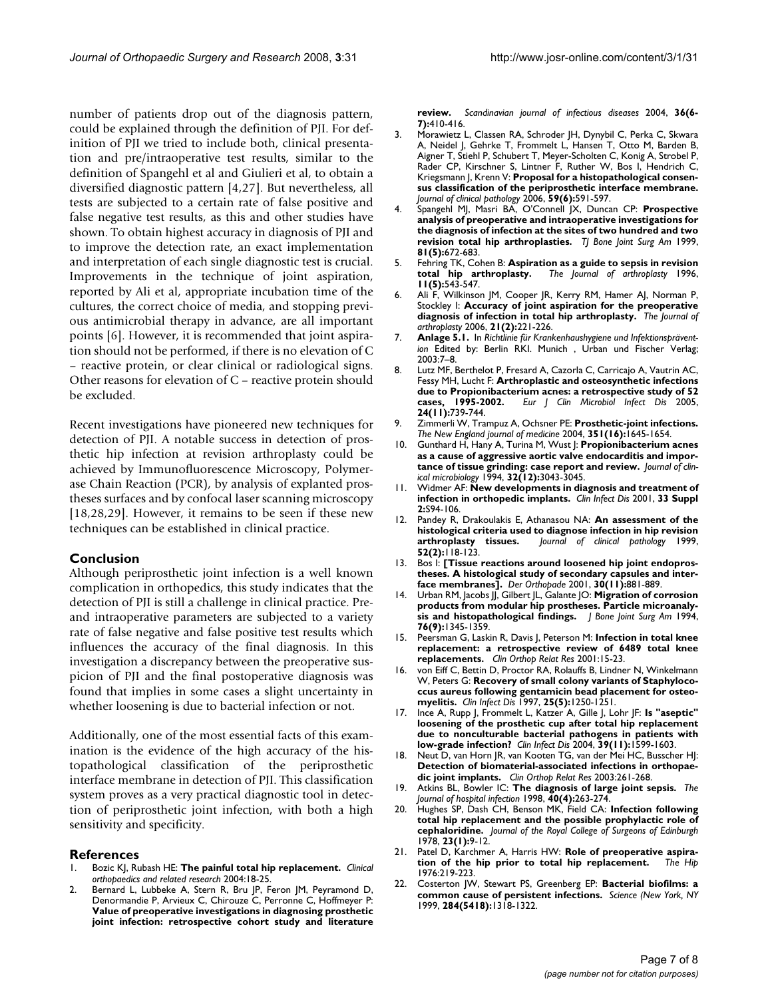number of patients drop out of the diagnosis pattern, could be explained through the definition of PJI. For definition of PJI we tried to include both, clinical presentation and pre/intraoperative test results, similar to the definition of Spangehl et al and Giulieri et al, to obtain a diversified diagnostic pattern [4,27]. But nevertheless, all tests are subjected to a certain rate of false positive and false negative test results, as this and other studies have shown. To obtain highest accuracy in diagnosis of PJI and to improve the detection rate, an exact implementation and interpretation of each single diagnostic test is crucial. Improvements in the technique of joint aspiration, reported by Ali et al, appropriate incubation time of the cultures, the correct choice of media, and stopping previous antimicrobial therapy in advance, are all important points [6]. However, it is recommended that joint aspiration should not be performed, if there is no elevation of C – reactive protein, or clear clinical or radiological signs. Other reasons for elevation of C – reactive protein should be excluded.

Recent investigations have pioneered new techniques for detection of PJI. A notable success in detection of prosthetic hip infection at revision arthroplasty could be achieved by Immunofluorescence Microscopy, Polymerase Chain Reaction (PCR), by analysis of explanted prostheses surfaces and by confocal laser scanning microscopy [18,28,29]. However, it remains to be seen if these new techniques can be established in clinical practice.

### **Conclusion**

Although periprosthetic joint infection is a well known complication in orthopedics, this study indicates that the detection of PJI is still a challenge in clinical practice. Preand intraoperative parameters are subjected to a variety rate of false negative and false positive test results which influences the accuracy of the final diagnosis. In this investigation a discrepancy between the preoperative suspicion of PJI and the final postoperative diagnosis was found that implies in some cases a slight uncertainty in whether loosening is due to bacterial infection or not.

Additionally, one of the most essential facts of this examination is the evidence of the high accuracy of the histopathological classification of the periprosthetic interface membrane in detection of PJI. This classification system proves as a very practical diagnostic tool in detection of periprosthetic joint infection, with both a high sensitivity and specificity.

#### **References**

- 1. Bozic KJ, Rubash HE: **The painful total hip replacement.** *Clinical orthopaedics and related research* 2004:18-25.
- 2. Bernard L, Lubbeke A, Stern R, Bru JP, Feron JM, Peyramond D, Denormandie P, Arvieux C, Chirouze C, Perronne C, Hoffmeyer P: **Value of preoperative investigations in diagnosing prosthetic [joint infection: retrospective cohort study and literature](http://www.ncbi.nlm.nih.gov/entrez/query.fcgi?cmd=Retrieve&db=PubMed&dopt=Abstract&list_uids=15307559)**

**[review.](http://www.ncbi.nlm.nih.gov/entrez/query.fcgi?cmd=Retrieve&db=PubMed&dopt=Abstract&list_uids=15307559)** *Scandinavian journal of infectious diseases* 2004, **36(6- 7):**410-416.

- 3. Morawietz L, Classen RA, Schroder JH, Dynybil C, Perka C, Skwara A, Neidel J, Gehrke T, Frommelt L, Hansen T, Otto M, Barden B, Aigner T, Stiehl P, Schubert T, Meyer-Scholten C, Konig A, Strobel P, Rader CP, Kirschner S, Lintner F, Ruther W, Bos I, Hendrich C, Kriegsmann J, Krenn V: **[Proposal for a histopathological consen](http://www.ncbi.nlm.nih.gov/entrez/query.fcgi?cmd=Retrieve&db=PubMed&dopt=Abstract&list_uids=16731601)[sus classification of the periprosthetic interface membrane.](http://www.ncbi.nlm.nih.gov/entrez/query.fcgi?cmd=Retrieve&db=PubMed&dopt=Abstract&list_uids=16731601)** *Journal of clinical pathology* 2006, **59(6):**591-597.
- 4. Spangehl MJ, Masri BA, O'Connell JX, Duncan CP: **Prospective analysis of preoperative and intraoperative investigations for the diagnosis of infection at the sites of two hundred and two revision total hip arthroplasties.** *TJ Bone Joint Surg Am* 1999, **81(5):**672-683.
- 5. Fehring TK, Cohen B: **[Aspiration as a guide to sepsis in revision](http://www.ncbi.nlm.nih.gov/entrez/query.fcgi?cmd=Retrieve&db=PubMed&dopt=Abstract&list_uids=8872573) [total hip arthroplasty.](http://www.ncbi.nlm.nih.gov/entrez/query.fcgi?cmd=Retrieve&db=PubMed&dopt=Abstract&list_uids=8872573)** *The Journal of arthroplasty* 1996, **11(5):**543-547.
- Ali F, Wilkinson JM, Cooper JR, Kerry RM, Hamer AJ, Norman P, Stockley I: **[Accuracy of joint aspiration for the preoperative](http://www.ncbi.nlm.nih.gov/entrez/query.fcgi?cmd=Retrieve&db=PubMed&dopt=Abstract&list_uids=16520210) [diagnosis of infection in total hip arthroplasty.](http://www.ncbi.nlm.nih.gov/entrez/query.fcgi?cmd=Retrieve&db=PubMed&dopt=Abstract&list_uids=16520210)** *The Journal of arthroplasty* 2006, **21(2):**221-226.
- 7. **Anlage 5.1.** In *Richtlinie für Krankenhaushygiene und Infektionsprävention* Edited by: Berlin RKI. Munich , Urban und Fischer Verlag; 2003:7–8.
- 8. Lutz MF, Berthelot P, Fresard A, Cazorla C, Carricajo A, Vautrin AC, Fessy MH, Lucht F: **[Arthroplastic and osteosynthetic infections](http://www.ncbi.nlm.nih.gov/entrez/query.fcgi?cmd=Retrieve&db=PubMed&dopt=Abstract&list_uids=16328558)** [due to Propionibacterium acnes: a retrospective study of 52](http://www.ncbi.nlm.nih.gov/entrez/query.fcgi?cmd=Retrieve&db=PubMed&dopt=Abstract&list_uids=16328558)<br>cases, 1995-2002. Eur / Clin Microbiol Infect Dis 2005, **[cases, 1995-2002.](http://www.ncbi.nlm.nih.gov/entrez/query.fcgi?cmd=Retrieve&db=PubMed&dopt=Abstract&list_uids=16328558)** *Eur J Clin Microbiol Infect Dis* 2005, **24(11):**739-744.
- 9. Zimmerli W, Trampuz A, Ochsner PE: **[Prosthetic-joint infections.](http://www.ncbi.nlm.nih.gov/entrez/query.fcgi?cmd=Retrieve&db=PubMed&dopt=Abstract&list_uids=15483283)** *The New England journal of medicine* 2004, **351(16):**1645-1654.
- 10. Gunthard H, Hany A, Turina M, Wust J: **[Propionibacterium acnes](http://www.ncbi.nlm.nih.gov/entrez/query.fcgi?cmd=Retrieve&db=PubMed&dopt=Abstract&list_uids=7883897) [as a cause of aggressive aortic valve endocarditis and impor](http://www.ncbi.nlm.nih.gov/entrez/query.fcgi?cmd=Retrieve&db=PubMed&dopt=Abstract&list_uids=7883897)[tance of tissue grinding: case report and review.](http://www.ncbi.nlm.nih.gov/entrez/query.fcgi?cmd=Retrieve&db=PubMed&dopt=Abstract&list_uids=7883897)** *Journal of clinical microbiology* 1994, **32(12):**3043-3045.
- 11. Widmer AF: **[New developments in diagnosis and treatment of](http://www.ncbi.nlm.nih.gov/entrez/query.fcgi?cmd=Retrieve&db=PubMed&dopt=Abstract&list_uids=11486305) [infection in orthopedic implants.](http://www.ncbi.nlm.nih.gov/entrez/query.fcgi?cmd=Retrieve&db=PubMed&dopt=Abstract&list_uids=11486305)** *Clin Infect Dis* 2001, **33 Suppl 2:**S94-106.
- 12. Pandey R, Drakoulakis E, Athanasou NA: **[An assessment of the](http://www.ncbi.nlm.nih.gov/entrez/query.fcgi?cmd=Retrieve&db=PubMed&dopt=Abstract&list_uids=10396239) [histological criteria used to diagnose infection in hip revision](http://www.ncbi.nlm.nih.gov/entrez/query.fcgi?cmd=Retrieve&db=PubMed&dopt=Abstract&list_uids=10396239) [arthroplasty tissues.](http://www.ncbi.nlm.nih.gov/entrez/query.fcgi?cmd=Retrieve&db=PubMed&dopt=Abstract&list_uids=10396239)** *Journal of clinical pathology* 1999, **52(2):**118-123.
- 13. Bos I: **[\[Tissue reactions around loosened hip joint endopros](http://www.ncbi.nlm.nih.gov/entrez/query.fcgi?cmd=Retrieve&db=PubMed&dopt=Abstract&list_uids=11766632)[theses. A histological study of secondary capsules and inter](http://www.ncbi.nlm.nih.gov/entrez/query.fcgi?cmd=Retrieve&db=PubMed&dopt=Abstract&list_uids=11766632)[face membranes\].](http://www.ncbi.nlm.nih.gov/entrez/query.fcgi?cmd=Retrieve&db=PubMed&dopt=Abstract&list_uids=11766632)** *Der Orthopade* 2001, **30(11):**881-889.
- 14. Urban RM, Jacobs JJ, Gilbert JL, Galante JO: **[Migration of corrosion](http://www.ncbi.nlm.nih.gov/entrez/query.fcgi?cmd=Retrieve&db=PubMed&dopt=Abstract&list_uids=8077264) [products from modular hip prostheses. Particle microanaly](http://www.ncbi.nlm.nih.gov/entrez/query.fcgi?cmd=Retrieve&db=PubMed&dopt=Abstract&list_uids=8077264)[sis and histopathological findings.](http://www.ncbi.nlm.nih.gov/entrez/query.fcgi?cmd=Retrieve&db=PubMed&dopt=Abstract&list_uids=8077264)** *J Bone Joint Surg Am* 1994, **76(9):**1345-1359.
- 15. Peersman G, Laskin R, Davis J, Peterson M: **[Infection in total knee](http://www.ncbi.nlm.nih.gov/entrez/query.fcgi?cmd=Retrieve&db=PubMed&dopt=Abstract&list_uids=11716377) [replacement: a retrospective review of 6489 total knee](http://www.ncbi.nlm.nih.gov/entrez/query.fcgi?cmd=Retrieve&db=PubMed&dopt=Abstract&list_uids=11716377) [replacements.](http://www.ncbi.nlm.nih.gov/entrez/query.fcgi?cmd=Retrieve&db=PubMed&dopt=Abstract&list_uids=11716377)** *Clin Orthop Relat Res* 2001:15-23.
- 16. von Eiff C, Bettin D, Proctor RA, Rolauffs B, Lindner N, Winkelmann W, Peters G: **[Recovery of small colony variants of Staphyloco](http://www.ncbi.nlm.nih.gov/entrez/query.fcgi?cmd=Retrieve&db=PubMed&dopt=Abstract&list_uids=9402396)[ccus aureus following gentamicin bead placement for osteo](http://www.ncbi.nlm.nih.gov/entrez/query.fcgi?cmd=Retrieve&db=PubMed&dopt=Abstract&list_uids=9402396)[myelitis.](http://www.ncbi.nlm.nih.gov/entrez/query.fcgi?cmd=Retrieve&db=PubMed&dopt=Abstract&list_uids=9402396)** *Clin Infect Dis* 1997, **25(5):**1250-1251.
- 17. Ince A, Rupp J, Frommelt L, Katzer A, Gille J, Lohr JF: **[Is "aseptic"](http://www.ncbi.nlm.nih.gov/entrez/query.fcgi?cmd=Retrieve&db=PubMed&dopt=Abstract&list_uids=15578358) [loosening of the prosthetic cup after total hip replacement](http://www.ncbi.nlm.nih.gov/entrez/query.fcgi?cmd=Retrieve&db=PubMed&dopt=Abstract&list_uids=15578358) due to nonculturable bacterial pathogens in patients with [low-grade infection?](http://www.ncbi.nlm.nih.gov/entrez/query.fcgi?cmd=Retrieve&db=PubMed&dopt=Abstract&list_uids=15578358)** *Clin Infect Dis* 2004, **39(11):**1599-1603.
- 18. Neut D, van Horn JR, van Kooten TG, van der Mei HC, Busscher HJ: **[Detection of biomaterial-associated infections in orthopae](http://www.ncbi.nlm.nih.gov/entrez/query.fcgi?cmd=Retrieve&db=PubMed&dopt=Abstract&list_uids=12897618)[dic joint implants.](http://www.ncbi.nlm.nih.gov/entrez/query.fcgi?cmd=Retrieve&db=PubMed&dopt=Abstract&list_uids=12897618)** *Clin Orthop Relat Res* 2003:261-268.
- 19. Atkins BL, Bowler IC: **[The diagnosis of large joint sepsis.](http://www.ncbi.nlm.nih.gov/entrez/query.fcgi?cmd=Retrieve&db=PubMed&dopt=Abstract&list_uids=9868617)** *The Journal of hospital infection* 1998, **40(4):**263-274.
- 20. Hughes SP, Dash CH, Benson MK, Field CA: **[Infection following](http://www.ncbi.nlm.nih.gov/entrez/query.fcgi?cmd=Retrieve&db=PubMed&dopt=Abstract&list_uids=633200) [total hip replacement and the possible prophylactic role of](http://www.ncbi.nlm.nih.gov/entrez/query.fcgi?cmd=Retrieve&db=PubMed&dopt=Abstract&list_uids=633200) [cephaloridine.](http://www.ncbi.nlm.nih.gov/entrez/query.fcgi?cmd=Retrieve&db=PubMed&dopt=Abstract&list_uids=633200)** *Journal of the Royal College of Surgeons of Edinburgh* 1978, **23(1):**9-12.
- 21. Patel D, Karchmer A, Harris HW: **Role of preoperative aspiration of the hip prior to total hip replacement.** *The Hip* 1976:219-223.
- 22. Costerton JW, Stewart PS, Greenberg EP: **Bacterial biofilms: a common cause of persistent infections.** *Science (New York, NY* 1999, **284(5418):**1318-1322.